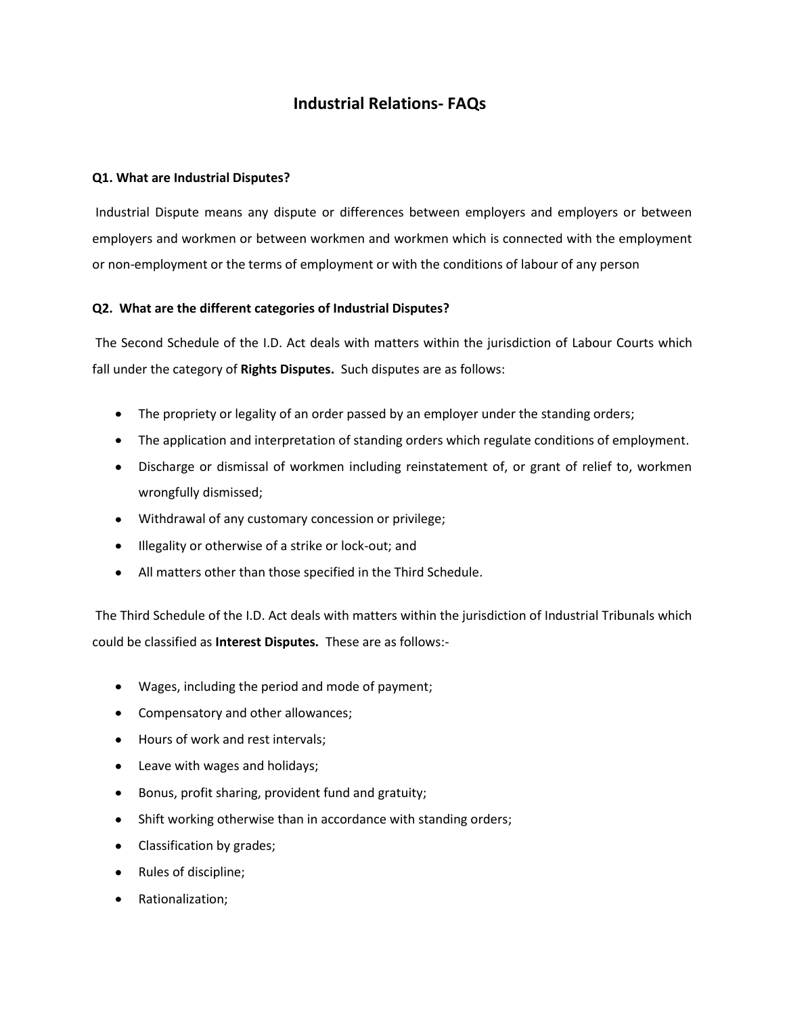# **Industrial Relations- FAQs**

## **Q1. What are Industrial Disputes?**

Industrial Dispute means any dispute or differences between employers and employers or between employers and workmen or between workmen and workmen which is connected with the employment or non-employment or the terms of employment or with the conditions of labour of any person

# **Q2. What are the different categories of Industrial Disputes?**

The Second Schedule of the I.D. Act deals with matters within the jurisdiction of Labour Courts which fall under the category of **Rights Disputes.** Such disputes are as follows:

- The propriety or legality of an order passed by an employer under the standing orders;
- The application and interpretation of standing orders which regulate conditions of employment.
- Discharge or dismissal of workmen including reinstatement of, or grant of relief to, workmen wrongfully dismissed;
- Withdrawal of any customary concession or privilege;
- $\bullet$  Illegality or otherwise of a strike or lock-out; and
- All matters other than those specified in the Third Schedule.

The Third Schedule of the I.D. Act deals with matters within the jurisdiction of Industrial Tribunals which could be classified as **Interest Disputes.** These are as follows:-

- Wages, including the period and mode of payment;
- Compensatory and other allowances;
- Hours of work and rest intervals;
- Leave with wages and holidays;
- Bonus, profit sharing, provident fund and gratuity;  $\bullet$
- Shift working otherwise than in accordance with standing orders;
- Classification by grades;
- Rules of discipline;
- Rationalization;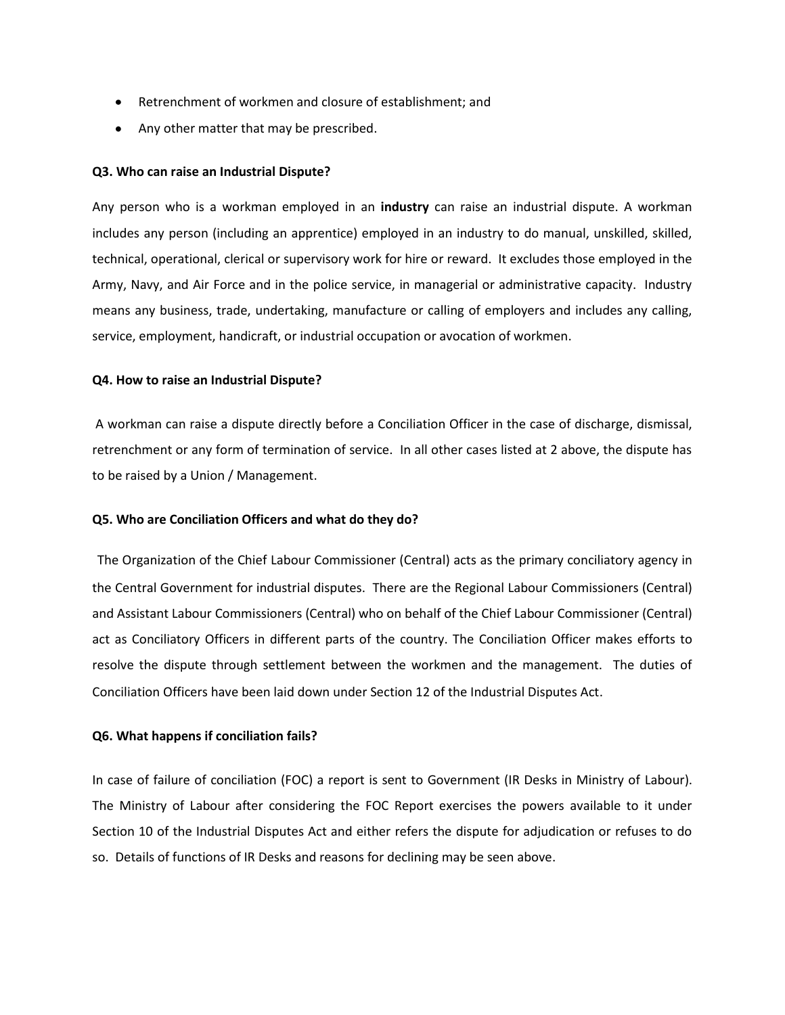- Retrenchment of workmen and closure of establishment; and
- Any other matter that may be prescribed.

#### **Q3. Who can raise an Industrial Dispute?**

Any person who is a workman employed in an **industry** can raise an industrial dispute. A workman includes any person (including an apprentice) employed in an industry to do manual, unskilled, skilled, technical, operational, clerical or supervisory work for hire or reward. It excludes those employed in the Army, Navy, and Air Force and in the police service, in managerial or administrative capacity. Industry means any business, trade, undertaking, manufacture or calling of employers and includes any calling, service, employment, handicraft, or industrial occupation or avocation of workmen.

#### **Q4. How to raise an Industrial Dispute?**

A workman can raise a dispute directly before a Conciliation Officer in the case of discharge, dismissal, retrenchment or any form of termination of service. In all other cases listed at 2 above, the dispute has to be raised by a Union / Management.

#### **Q5. Who are Conciliation Officers and what do they do?**

The Organization of the Chief Labour Commissioner (Central) acts as the primary conciliatory agency in the Central Government for industrial disputes. There are the Regional Labour Commissioners (Central) and Assistant Labour Commissioners (Central) who on behalf of the Chief Labour Commissioner (Central) act as Conciliatory Officers in different parts of the country. The Conciliation Officer makes efforts to resolve the dispute through settlement between the workmen and the management. The duties of Conciliation Officers have been laid down under Section 12 of the Industrial Disputes Act.

#### **Q6. What happens if conciliation fails?**

In case of failure of conciliation (FOC) a report is sent to Government (IR Desks in Ministry of Labour). The Ministry of Labour after considering the FOC Report exercises the powers available to it under Section 10 of the Industrial Disputes Act and either refers the dispute for adjudication or refuses to do so. Details of functions of IR Desks and reasons for declining may be seen above.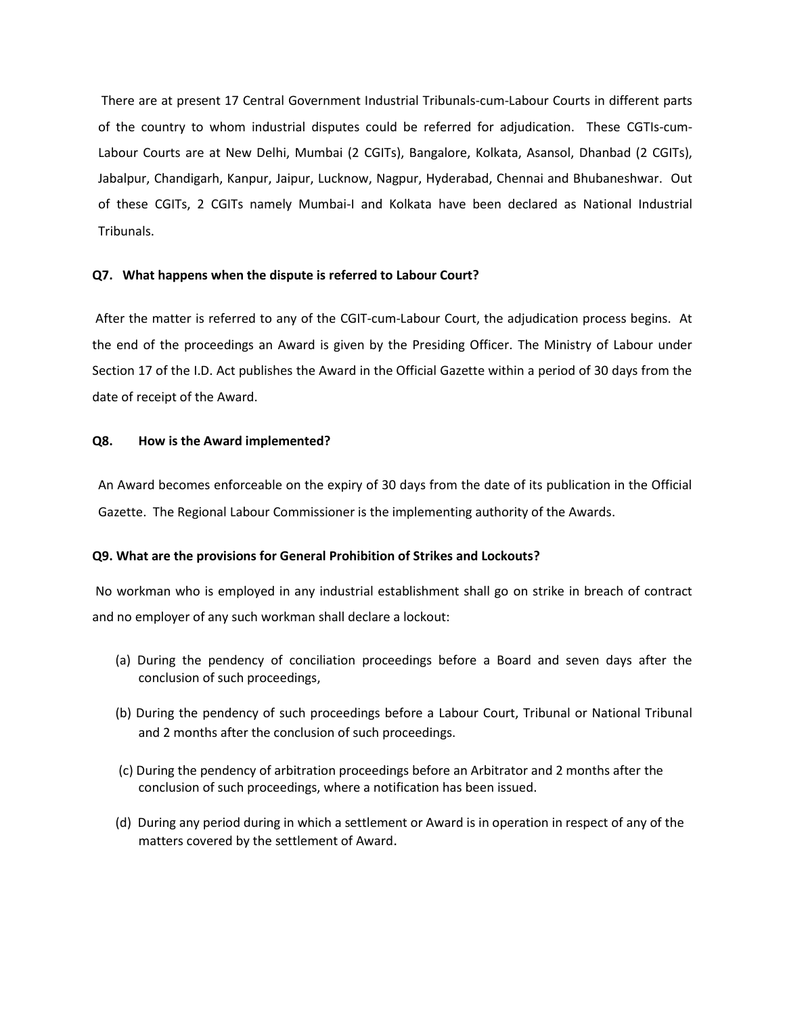There are at present 17 Central Government Industrial Tribunals-cum-Labour Courts in different parts of the country to whom industrial disputes could be referred for adjudication. These CGTIs-cum-Labour Courts are at New Delhi, Mumbai (2 CGITs), Bangalore, Kolkata, Asansol, Dhanbad (2 CGITs), Jabalpur, Chandigarh, Kanpur, Jaipur, Lucknow, Nagpur, Hyderabad, Chennai and Bhubaneshwar. Out of these CGITs, 2 CGITs namely Mumbai-I and Kolkata have been declared as National Industrial Tribunals.

## **Q7. What happens when the dispute is referred to Labour Court?**

After the matter is referred to any of the CGIT-cum-Labour Court, the adjudication process begins. At the end of the proceedings an Award is given by the Presiding Officer. The Ministry of Labour under Section 17 of the I.D. Act publishes the Award in the Official Gazette within a period of 30 days from the date of receipt of the Award.

## **Q8. How is the Award implemented?**

An Award becomes enforceable on the expiry of 30 days from the date of its publication in the Official Gazette. The Regional Labour Commissioner is the implementing authority of the Awards.

#### **Q9. What are the provisions for General Prohibition of Strikes and Lockouts?**

No workman who is employed in any industrial establishment shall go on strike in breach of contract and no employer of any such workman shall declare a lockout:

- (a) During the pendency of conciliation proceedings before a Board and seven days after the conclusion of such proceedings,
- (b) During the pendency of such proceedings before a Labour Court, Tribunal or National Tribunal and 2 months after the conclusion of such proceedings.
- (c) During the pendency of arbitration proceedings before an Arbitrator and 2 months after the conclusion of such proceedings, where a notification has been issued.
- (d) During any period during in which a settlement or Award is in operation in respect of any of the matters covered by the settlement of Award.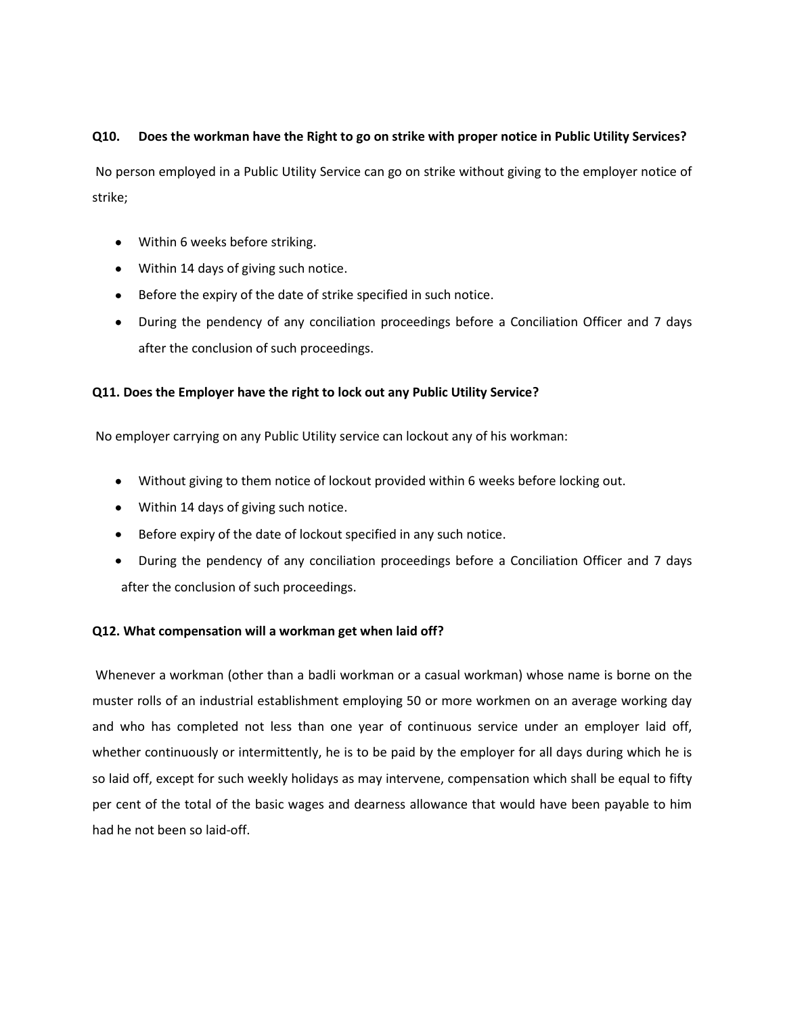# **Q10. Does the workman have the Right to go on strike with proper notice in Public Utility Services?**

No person employed in a Public Utility Service can go on strike without giving to the employer notice of strike;

- Within 6 weeks before striking.
- Within 14 days of giving such notice.
- Before the expiry of the date of strike specified in such notice.
- During the pendency of any conciliation proceedings before a Conciliation Officer and 7 days after the conclusion of such proceedings.

# **Q11. Does the Employer have the right to lock out any Public Utility Service?**

No employer carrying on any Public Utility service can lockout any of his workman:

- Without giving to them notice of lockout provided within 6 weeks before locking out.
- Within 14 days of giving such notice.
- Before expiry of the date of lockout specified in any such notice.
- During the pendency of any conciliation proceedings before a Conciliation Officer and 7 days after the conclusion of such proceedings.

# **Q12. What compensation will a workman get when laid off?**

Whenever a workman (other than a badli workman or a casual workman) whose name is borne on the muster rolls of an industrial establishment employing 50 or more workmen on an average working day and who has completed not less than one year of continuous service under an employer laid off, whether continuously or intermittently, he is to be paid by the employer for all days during which he is so laid off, except for such weekly holidays as may intervene, compensation which shall be equal to fifty per cent of the total of the basic wages and dearness allowance that would have been payable to him had he not been so laid-off.